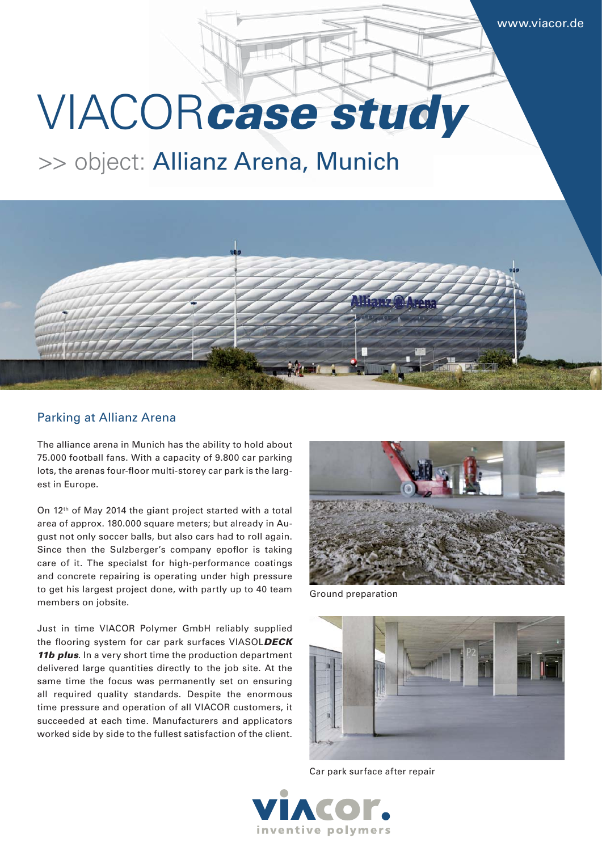# VIACOR*case study*

## >> object: Allianz Arena, Munich



#### Parking at Allianz Arena

The alliance arena in Munich has the ability to hold about 75.000 football fans. With a capacity of 9.800 car parking lots, the arenas four-floor multi-storey car park is the largest in Europe.

On 12<sup>th</sup> of May 2014 the giant project started with a total area of approx. 180.000 square meters; but already in August not only soccer balls, but also cars had to roll again. Since then the Sulzberger's company epoflor is taking care of it. The specialst for high-performance coatings and concrete repairing is operating under high pressure to get his largest project done, with partly up to 40 team members on jobsite.

Just in time VIACOR Polymer GmbH reliably supplied the flooring system for car park surfaces VIASOLDECK *11b plus*. In a very short time the production department delivered large quantities directly to the job site. At the same time the focus was permanently set on ensuring all required quality standards. Despite the enormous time pressure and operation of all VIACOR customers, it succeeded at each time. Manufacturers and applicators worked side by side to the fullest satisfaction of the client.



Ground preparation



Car park surface after repair